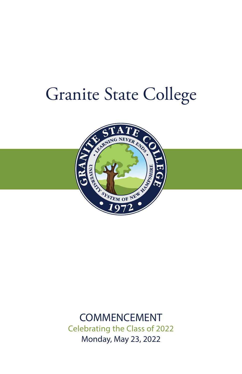# Granite State College



# COMMENCEMENT

Celebrating the Class of 2022 Monday, May 23, 2022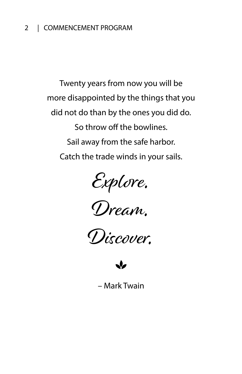Twenty years from now you will be more disappointed by the things that you did not do than by the ones you did do. So throw off the bowlines. Sail away from the safe harbor. Catch the trade winds in your sails.

Explore.

Dream.





– Mark Twain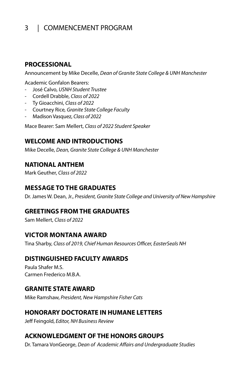# 3 | COMMENCEMENT PROGRAM

### **PROCESSIONAL**

Announcement by Mike Decelle, *Dean of Granite State College & UNH Manchester*

Academic Gonfalon Bearers:

- José Calvo, *USNH Student Trustee*
- Cordell Drabble, *Class of 2022*
- Ty Gioacchini, *Class of 2022*
- Courtney Rice*, Granite State College Faculty*
- Madison Vasquez, *Class of 2022*

Mace Bearer: Sam Mellert, *Class of 2022 Student Speaker*

### **WELCOME AND INTRODUCTIONS**

Mike Decelle, *Dean, Granite State College & UNH Manchester*

### **NATIONAL ANTHEM**

Mark Geuther, *Class of 2022*

### **MESSAGE TO THE GRADUATES**

Dr. James W. Dean, Jr., *President, Granite State College and University of New Hampshire*

### **GREETINGS FROM THE GRADUATES**

Sam Mellert, *Class of 2022*

### **VICTOR MONTANA AWARD**

Tina Sharby, *Class of 2019, Chief Human Resources Officer, EasterSeals NH*

### **DISTINGUISHED FACULTY AWARDS**

Paula Shafer M.S. Carmen Frederico M.B.A.

### **GRANITE STATE AWARD**

Mike Ramshaw, *President, New Hampshire Fisher Cats*

### **HONORARY DOCTORATE IN HUMANE LETTERS**

Jeff Feingold, *Editor, NH Business Review*

### **ACKNOWLEDGMENT OF THE HONORS GROUPS**

Dr. Tamara VonGeorge, *Dean of Academic Affairs and Undergraduate Studies*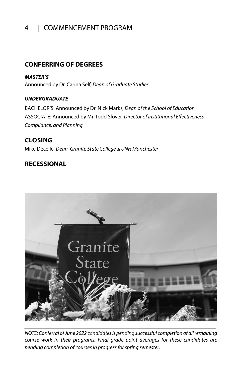# 4 | COMMENCEMENT PROGRAM

### **CONFERRING OF DEGREES**

*MASTER'S* Announced by Dr. Carina Self, *Dean of Graduate Studies*

### *UNDERGRADUATE*

BACHELOR'S: Announced by Dr. Nick Marks, *Dean of the School of Education* ASSOCIATE: Announced by Mr. Todd Slover, *Director of Institutional Effectiveness, Compliance, and Planning* 

### **CLOSING**

Mike Decelle, *Dean, Granite State College & UNH Manchester*

# **RECESSIONAL**



*NOTE: Conferral of June 2022 candidates is pending successful completion of all remaining course work in their programs. Final grade point averages for these candidates are pending completion of courses in progress for spring semester.*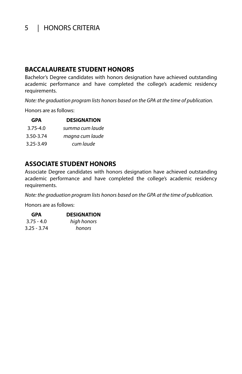# 5 | HONORS CRITERIA

### **BACCALAUREATE STUDENT HONORS**

Bachelor's Degree candidates with honors designation have achieved outstanding academic performance and have completed the college's academic residency requirements.

*Note: the graduation program lists honors based on the GPA at the time of publication.* 

Honors are as follows:

| GPA          | <b>DESIGNATION</b> |
|--------------|--------------------|
| $3.75 - 4.0$ | summa cum laude    |
| 3.50-3.74    | magna cum laude    |
| 3.25-3.49    | cum laude          |

### **ASSOCIATE STUDENT HONORS**

Associate Degree candidates with honors designation have achieved outstanding academic performance and have completed the college's academic residency requirements.

*Note: the graduation program lists honors based on the GPA at the time of publication.* 

Honors are as follows:

| GPA          | <b>DESIGNATION</b> |
|--------------|--------------------|
| $3.75 - 4.0$ | high honors        |
| 3.25 - 3.74  | honors             |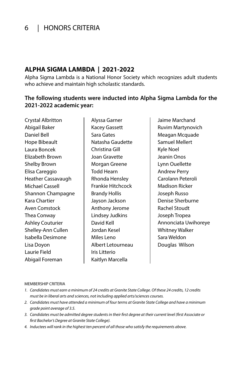# 6 | HONORS CRITERIA

### **ALPHA SIGMA LAMBDA | 2021-2022**

Alpha Sigma Lambda is a National Honor Society which recognizes adult students who achieve and maintain high scholastic standards.

### **The following students were inducted into Alpha Sigma Lambda for the 2021-2022 academic year:**

Crystal Albritton Abigail Baker Daniel Bell Hope Bibeault Laura Boncek Elizabeth Brown Shelby Brown Elisa Careggio Heather Cassavaugh Michael Cassell Shannon Champagne Kara Chartier Aven Comstock Thea Conway Ashley Couturier Shelley-Ann Cullen Isabella Desimone Lisa Doyon Laurie Field Abigail Foreman

Alyssa Garner Kacey Gassett Sara Gates Natasha Gaudette Christina Gill Joan Gravette Morgan Greene Todd Hearn Rhonda Hensley Frankie Hitchcock Brandy Hollis Jayson Jackson Anthony Jerome Lindsey Judkins David Kell Jordan Kesel Miles Leno Albert Letourneau Iris Litterio Kaitlyn Marcella

Jaime Marchand Ruvim Martynovich Meagan Mcquade Samuel Mellert Kyle Noel Jeanin Onos Lynn Ouellette Andrew Perry Carolann Peteroli Madison Ricker Joseph Russo Denise Sherburne Rachel Stoudt Joseph Tropea Annonciata Uwihoreye Whitney Walker Sara Weldon Douglas Wilson

#### MEMBERSHIP CRITERIA

- 1. Candidates must earn a minimum of 24 credits at Granite State College. Of these 24 credits, 12 credits *must be in liberal arts and sciences, not including applied arts/sciences courses.*
- *2. Candidates must have attended a minimum of four terms at Granite State College and have a minimum grade point average of 3.5.*
- *3. Candidates must be admitted degree students in their first degree at their current level (first Associate or first Bachelor's Degree at Granite State College).*
- *4. Inductees will rank in the highest ten percent of all those who satisfy the requirements above.*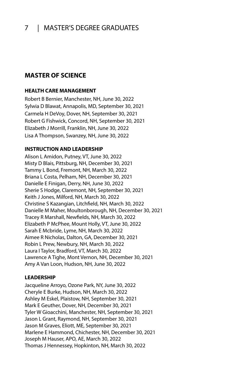# 7 | MASTER'S DEGREE GRADUATES

### **MASTER OF SCIENCE**

#### **HEALTH CARE MANAGEMENT**

Robert B Bernier, Manchester, NH, June 30, 2022 Sylwia D Blawat, Annapolis, MD, September 30, 2021 Carmela H DeVoy, Dover, NH, September 30, 2021 Robert G Fishwick, Concord, NH, September 30, 2021 Elizabeth J Morrill, Franklin, NH, June 30, 2022 Lisa A Thompson, Swanzey, NH, June 30, 2022

#### **INSTRUCTION AND LEADERSHIP**

Alison L Amidon, Putney, VT, June 30, 2022 Misty D Blais, Pittsburg, NH, December 30, 2021 Tammy L Bond, Fremont, NH, March 30, 2022 Briana L Costa, Pelham, NH, December 30, 2021 Danielle E Finigan, Derry, NH, June 30, 2022 Sherie S Hodge, Claremont, NH, September 30, 2021 Keith J Jones, Milford, NH, March 30, 2022 Christine S Kazangian, Litchfield, NH, March 30, 2022 Danielle M Maher, Moultonborough, NH, December 30, 2021 Tracey R Marshall, Newfields, NH, March 30, 2022 Elizabeth P McPhee, Mount Holly, VT, June 30, 2022 Sarah E Mcbride, Lyme, NH, March 30, 2022 Aimee R Nicholas, Dalton, GA, December 30, 2021 Robin L Prew, Newbury, NH, March 30, 2022 Laura I Taylor, Bradford, VT, March 30, 2022 Lawrence A Tighe, Mont Vernon, NH, December 30, 2021 Amy A Van Loon, Hudson, NH, June 30, 2022

#### **LEADERSHIP**

Jacqueline Arroyo, Ozone Park, NY, June 30, 2022 Cheryle E Burke, Hudson, NH, March 30, 2022 Ashley M Eskel, Plaistow, NH, September 30, 2021 Mark E Geuther, Dover, NH, December 30, 2021 Tyler W Gioacchini, Manchester, NH, September 30, 2021 Jason L Grant, Raymond, NH, September 30, 2021 Jason M Graves, Eliott, ME, September 30, 2021 Marlene E Hammond, Chichester, NH, December 30, 2021 Joseph M Hauser, APO, AE, March 30, 2022 Thomas J Hennessey, Hopkinton, NH, March 30, 2022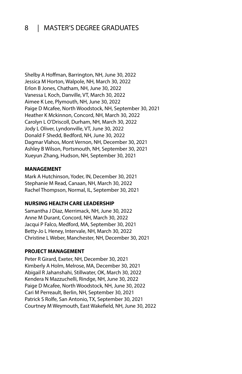### 8 | MASTER'S DEGREE GRADUATES

Shelby A Hoffman, Barrington, NH, June 30, 2022 Jessica M Horton, Walpole, NH, March 30, 2022 Erlon B Jones, Chatham, NH, June 30, 2022 Vanessa L Koch, Danville, VT, March 30, 2022 Aimee K Lee, Plymouth, NH, June 30, 2022 Paige D Mcafee, North Woodstock, NH, September 30, 2021 Heather K Mckinnon, Concord, NH, March 30, 2022 Carolyn L O'Driscoll, Durham, NH, March 30, 2022 Jody L Oliver, Lyndonville, VT, June 30, 2022 Donald F Shedd, Bedford, NH, June 30, 2022 Dagmar Vlahos, Mont Vernon, NH, December 30, 2021 Ashley B Wilson, Portsmouth, NH, September 30, 2021 Xueyun Zhang, Hudson, NH, September 30, 2021

#### **MANAGEMENT**

Mark A Hutchinson, Yoder, IN, December 30, 2021 Stephanie M Read, Canaan, NH, March 30, 2022 Rachel Thompson, Normal, IL, September 30, 2021

#### **NURSING HEALTH CARE LEADERSHIP**

Samantha J Diaz, Merrimack, NH, June 30, 2022 Anne M Durant, Concord, NH, March 30, 2022 Jacqui P Falco, Medford, MA, September 30, 2021 Betty-Jo L Heney, Intervale, NH, March 30, 2022 Christine L Weber, Manchester, NH, December 30, 2021

#### **PROJECT MANAGEMENT**

Peter R Girard, Exeter, NH, December 30, 2021 Kimberly A Holm, Melrose, MA, December 30, 2021 Abigail R Jahanshahi, Stillwater, OK, March 30, 2022 Kendera N Mazzuchelli, Rindge, NH, June 30, 2022 Paige D Mcafee, North Woodstock, NH, June 30, 2022 Cari M Perreault, Berlin, NH, September 30, 2021 Patrick S Rolfe, San Antonio, TX, September 30, 2021 Courtney M Weymouth, East Wakefield, NH, June 30, 2022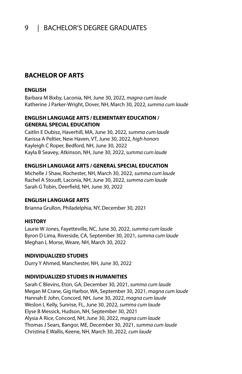### **BACHELOR OF ARTS**

#### **ENGLISH**

Barbara M Bixby, Laconia, NH, June 30, 2022*, magna cum laude* Katherine J Parker-Wright, Dover, NH, March 30, 2022*, summa cum laude*

#### **ENGLISH LANGUAGE ARTS / ELEMENTARY EDUCATION / GENERAL SPECIAL EDUCATION**

Caitlin E Dubisz, Haverhill, MA, June 30, 2022, *summa cum laude* Karissa A Peltier, New Haven, VT, June 30, 2022, *high honors* Kayleigh C Roper, Bedford, NH, June 30, 2022 Kayla B Seavey, Atkinson, NH, June 30, 2022, *summa cum laude*

#### **ENGLISH LANGUAGE ARTS / GENERAL SPECIAL EDUCATION**

Michelle J Shaw, Rochester, NH, March 30, 2022, *summa cum laude* Rachel A Stoudt, Laconia, NH, June 30, 2022, *summa cum laude* Sarah G Tobin, Deerfield, NH, June 30, 2022

#### **ENGLISH LANGUAGE ARTS**

Brianna Grullon, Philadelphia, NY, December 30, 2021

#### **HISTORY**

Laurie W Jones, Fayetteville, NC, June 30, 2022, *summa cum laude* Byron D Lima, Riverside, CA, September 30, 2021, *summa cum laude* Meghan L Morse, Weare, NH, March 30, 2022

#### **INDIVIDUALIZED STUDIES**

Durry Y Ahmed, Manchester, NH, June 30, 2022

#### **INDIVIDUALIZED STUDIES IN HUMANITIES**

Sarah C Blevins, Eton, GA, December 30, 2021, *summa cum laude* Megan M Crane, Gig Harbor, WA, September 30, 2021, *magna cum laude* Hannah E John, Concord, NH, June 30, 2022, *magna cum laude* Weslon L Kelly, Sunrise, FL, June 30, 2022, *summa cum laude* Elyse B Messick, Hudson, NH, September 30, 2021 Alysia A Rice, Concord, NH, June 30, 2022, *magna cum laude* Thomas J Sears, Bangor, ME, December 30, 2021, *summa cum laude* Christina E Wallis, Keene, NH, March 30, 2022, *cum laude*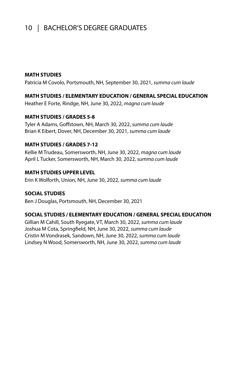#### **MATH STUDIES**

Patricia M Covolo, Portsmouth, NH, September 30, 2021, *summa cum laude*

#### **MATH STUDIES / ELEMENTARY EDUCATION / GENERAL SPECIAL EDUCATION**

Heather E Forte, Rindge, NH, June 30, 2022, *magna cum laude*

#### **MATH STUDIES / GRADES 5-8**

Tyler A Adams, Goffstown, NH, March 30, 2022, *summa cum laude* Brian K Eibert, Dover, NH, December 30, 2021, *summa cum laude*

#### **MATH STUDIES / GRADES 7-12**

Kellie M Trudeau, Somersworth, NH, June 30, 2022, *magna cum laude* April L Tucker, Somersworth, NH, March 30, 2022, *summa cum laude*

#### **MATH STUDIES UPPER LEVEL**

Erin K Wolforth, Union, NH, June 30, 2022, *summa cum laude*

#### **SOCIAL STUDIES**

Ben J Douglas, Portsmouth, NH, December 30, 2021

#### **SOCIAL STUDIES / ELEMENTARY EDUCATION / GENERAL SPECIAL EDUCATION**

Gillian M Cahill, South Ryegate, VT, March 30, 2022, *summa cum laude* Joshua M Cota, Springfield, NH, June 30, 2022, *summa cum laude* Cristin M Vondrasek, Sandown, NH, June 30, 2022, *summa cum laude* Lindsey N Wood, Somersworth, NH, June 30, 2022, *summa cum laude*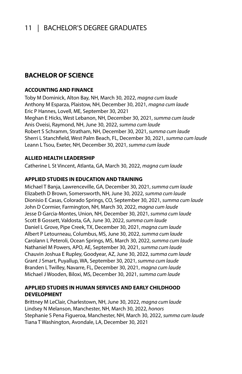### **BACHELOR OF SCIENCE**

### **ACCOUNTING AND FINANCE**

Toby M Dominick, Alton Bay, NH, March 30, 2022, *magna cum laude* Anthony M Esparza, Plaistow, NH, December 30, 2021, *magna cum laude* Eric P Hannes, Lovell, ME, September 30, 2021 Meghan E Hicks, West Lebanon, NH, December 30, 2021, *summa cum laude* Anis Oveisi, Raymond, NH, June 30, 2022, *summa cum laude* Robert S Schramm, Stratham, NH, December 30, 2021, *summa cum laude* Sherri L Stanchfield, West Palm Beach, FL, December 30, 2021, *summa cum laude* Leann L Tsou, Exeter, NH, December 30, 2021, *summa cum laude*

#### **ALLIED HEALTH LEADERSHIP**

Catherine L St Vincent, Atlanta, GA, March 30, 2022, *magna cum laude*

#### **APPLIED STUDIES IN EDUCATION AND TRAINING**

Michael T Banja, Lawrenceville, GA, December 30, 2021, *summa cum laude* Elizabeth D Brown, Somersworth, NH, June 30, 2022, *summa cum laude* Dionisio E Casas, Colorado Springs, CO, September 30, 2021, *summa cum laude* John D Cormier, Farmington, NH, March 30, 2022, *magna cum laude* Jesse D Garcia-Montes, Union, NH, December 30, 2021, *summa cum laude* Scott B Gossett, Valdosta, GA, June 30, 2022, *summa cum laude* Daniel L Grove, Pipe Creek, TX, December 30, 2021, *magna cum laude* Albert P Letourneau, Columbus, MS, June 30, 2022, *summa cum laude* Carolann L Peteroli, Ocean Springs, MS, March 30, 2022, *summa cum laude* Nathaniel M Powers, APO, AE, September 30, 2021, *summa cum laude* Chauvin Joshua E Rupley, Goodyear, AZ, June 30, 2022, *summa cum laude* Grant J Smart, Puyallup, WA, September 30, 2021, *summa cum laude* Branden L Twilley, Navarre, FL, December 30, 2021, *magna cum laude* Michael J Wooden, Biloxi, MS, December 30, 2021, *summa cum laude*

#### **APPLIED STUDIES IN HUMAN SERVICES AND EARLY CHILDHOOD DEVELOPMENT**

Brittney M LeClair, Charlestown, NH, June 30, 2022, *magna cum laude* Lindsey N Melanson, Manchester, NH, March 30, 2022, *honors* Stephanie S Pena Figueroa, Manchester, NH, March 30, 2022, *summa cum laude* Tiana T Washington, Avondale, LA, December 30, 2021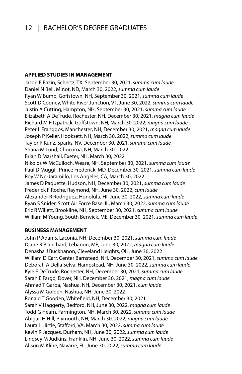#### **APPLIED STUDIES IN MANAGEMENT**

Jason E Bazin, Schertz, TX, September 30, 2021, *summa cum laude* Daniel N Bell, Minot, ND, March 30, 2022, *summa cum laude* Ryan W Bump, Goffstown, NH, September 30, 2021, *summa cum laude* Scott D Cooney, White River Junction, VT, June 30, 2022, *summa cum laude* Justin A Cutting, Hampton, NH, September 30, 2021, *summa cum laude* Elizabeth A DeTrude, Rochester, NH, December 30, 2021, *magna cum laude* Richard M Fitzpatrick, Goffstown, NH, March 30, 2022, *magna cum laude* Peter L Franggos, Manchester, NH, December 30, 2021, *magna cum laude* Joseph P Keller, Hooksett, NH, March 30, 2022, *summa cum laude* Taylor R Kunz, Sparks, NV, December 30, 2021, *summa cum laude* Shana M Lund, Chocorua, NH, March 30, 2022 Brian D Marshall, Exeter, NH, March 30, 2022 Nikolos W McCulloch, Weare, NH, September 30, 2021, *summa cum laude* Paul D Muggli, Prince Frederick, MD, December 30, 2021, *summa cum laude* Roy W Ng-Jaramillo, Los Angeles, CA, March 30, 2022 James D Paquette, Hudson, NH, December 30, 2021, *summa cum laude* Frederick F Roche, Raymond, NH, June 30, 2022, *cum laude* Alexander R Rodriguez, Honolulu, HI, June 30, 2022, *summa cum laude* Ryan S Snider, Scott Air Force Base, IL, March 30, 2022, *summa cum laude* Eric R Willett, Brookline, NH, September 30, 2021, *summa cum laude* William M Young, South Berwick, ME, December 30, 2021, *summa cum laude*

#### **BUSINESS MANAGEMENT**

John P Adams, Laconia, NH, December 30, 2021, *summa cum laude* Diane R Blanchard, Lebanon, ME, June 30, 2022, *magna cum laude* Denasha J Buckhanon, Cleveland Heights, OH, June 30, 2022 William D Carr, Center Barnstead, NH, December 30, 2021, *summa cum laude* Deborah A Della Selva, Hampstead, NH, June 30, 2022, *summa cum laude* Kyle E DeTrude, Rochester, NH, December 30, 2021, *summa cum laude* Sarah E Fargo, Dover, NH, December 30, 2021, *magna cum laude* Ahmad T Garba, Nashua, NH, December 30, 2021, *cum laude* Alyssa M Golden, Nashua, NH, June 30, 2022 Ronald T Gooden, Whitefield, NH, December 30, 2021 Sarah V Haggerty, Bedford, NH, June 30, 2022, *magna cum laude* Todd G Hearn, Farmington, NH, March 30, 2022, *summa cum laude* Abigail H Hill, Plymouth, NH, March 30, 2022, *magna cum laude* Laura L Hirtle, Stafford, VA, March 30, 2022, *summa cum laude* Kevin R Jacques, Durham, NH, June 30, 2022, *summa cum laude* Lindsey M Judkins, Franklin, NH, June 30, 2022, *summa cum laude* Alison M Kline, Navarre, FL, June 30, 2022, *summa cum laude*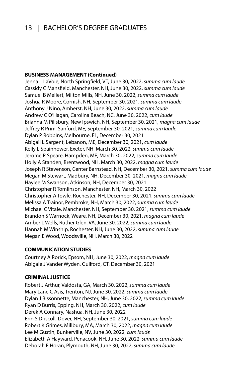#### **BUSINESS MANAGEMENT (Continued)**

Jenna L LaVoie, North Springfield, VT, June 30, 2022, *summa cum laude* Cassidy C Mansfield, Manchester, NH, June 30, 2022, *summa cum laude* Samuel B Mellert, Milton Mills, NH, June 30, 2022, *summa cum laude* Joshua R Moore, Cornish, NH, September 30, 2021, *summa cum laude* Anthony J Nino, Amherst, NH, June 30, 2022, *summa cum laude* Andrew C O'Hagan, Carolina Beach, NC, June 30, 2022, *cum laude* Brianna M Pillsbury, New Ipswich, NH, September 30, 2021, *magna cum laude* Jeffrey R Prim, Sanford, ME, September 30, 2021, *summa cum laude* Dylan P Robbins, Melbourne, FL, December 30, 2021 Abigail L Sargent, Lebanon, ME, December 30, 2021, *cum laude* Kelly L Spainhower, Exeter, NH, March 30, 2022, *summa cum laude* Jerome R Speare, Hampden, ME, March 30, 2022, *summa cum laude* Holly A Standen, Brentwood, NH, March 30, 2022, *magna cum laude* Joseph R Stevenson, Center Barnstead, NH, December 30, 2021, *summa cum laude* Megan M Stewart, Madbury, NH, December 30, 2021, *magna cum laude* Haylee M Swanson, Atkinson, NH, December 30, 2021 Christopher R Tomlinson, Manchester, NH, March 30, 2022 Christopher A Towle, Rochester, NH, December 30, 2021, *summa cum laude* Melissa A Trainor, Pembroke, NH, March 30, 2022, *summa cum laude* Michael C Vitale, Manchester, NH, September 30, 2021, *summa cum laude* Brandon S Warnock, Weare, NH, December 30, 2021, *magna cum laude* Amber L Wells, Ruther Glen, VA, June 30, 2022, *summa cum laude* Hannah M Winship, Rochester, NH, June 30, 2022, *summa cum laude* Megan E Wood, Woodsville, NH, March 30, 2022

#### **COMMUNICATION STUDIES**

Courtney A Rorick, Epsom, NH, June 30, 2022, *magna cum laude* Abigale J Vander Wyden, Guilford, CT, December 30, 2021

#### **CRIMINAL JUSTICE**

Robert J Arthur, Valdosta, GA, March 30, 2022, *summa cum laude* Mary Lane C Asis, Trenton, NJ, June 30, 2022, *summa cum laude* Dylan J Bissonnette, Manchester, NH, June 30, 2022, *summa cum laude* Ryan D Burris, Epping, NH, March 30, 2022, *cum laude* Derek A Connary, Nashua, NH, June 30, 2022 Erin S Driscoll, Dover, NH, September 30, 2021, *summa cum laude* Robert K Grimes, Millbury, MA, March 30, 2022, *magna cum laude* Lee M Gustin, Bunkerville, NV, June 30, 2022, *cum laude* Elizabeth A Hayward, Penacook, NH, June 30, 2022, *summa cum laude* Deborah E Horan, Plymouth, NH, June 30, 2022, *summa cum laude*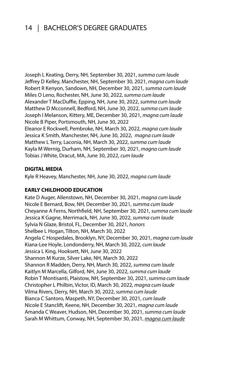Joseph L Keating, Derry, NH, September 30, 2021, *summa cum laude* Jeffrey D Kelley, Manchester, NH, September 30, 2021, *magna cum laude* Robert R Kenyon, Sandown, NH, December 30, 2021, *summa cum laude* Miles O Leno, Rochester, NH, June 30, 2022, *summa cum laude* Alexander T MacDuffie, Epping, NH, June 30, 2022, *summa cum laude* Matthew D Mcconnell, Bedford, NH, June 30, 2022, *summa cum laude* Joseph I Melanson, Kittery, ME, December 30, 2021, *magna cum laude* Nicole B Piper, Portsmouth, NH, June 30, 2022 Eleanor E Rockwell, Pembroke, NH, March 30, 2022, *magna cum laude* Jessica K Smith, Manchester, NH, June 30, 2022, *magna cum laude* Matthew L Terry, Laconia, NH, March 30, 2022, *summa cum laude* Kayla M Wernig, Durham, NH, September 30, 2021, *magna cum laude* Tobias J White, Dracut, MA, June 30, 2022, *cum laude*

#### **DIGITAL MEDIA**

Kyle R Heavey, Manchester, NH, June 30, 2022, *magna cum laude*

#### **EARLY CHILDHOOD EDUCATION**

Kate D Auger, Allenstown, NH, December 30, 2021, *magna cum laude* Nicole E Bernard, Bow, NH, December 30, 2021, *summa cum laude* Cheyanne A Ferns, Northfield, NH, September 30, 2021, *summa cum laude* Jessica K Gagne, Merrimack, NH, June 30, 2022, *summa cum laude* Sylvia N Glaze, Bristol, FL, December 30, 2021, *honors* Shelbee L Hogan, Tilton, NH, March 30, 2022 Angela C Hospedales, Brooklyn, NY, December 30, 2021, *magna cum laude* Kiana-Lee Hoyle, Londonderry, NH, March 30, 2022, *cum laude* Jessica L King, Hooksett, NH, June 30, 2022 Shannon M Kurze, Silver Lake, NH, March 30, 2022 Shannon R Madden, Derry, NH, March 30, 2022, *summa cum laude* Kaitlyn M Marcella, Gilford, NH, June 30, 2022, *summa cum laude* Robin T Montisanti, Plaistow, NH, September 30, 2021, *summa cum laude* Christopher L Philbin, Victor, ID, March 30, 2022, *magna cum laude* Vilma Rivers, Derry, NH, March 30, 2022, *summa cum laude* Bianca C Santoro, Maspeth, NY, December 30, 2021, *cum laude* Nicole E Stanclift, Keene, NH, December 30, 2021, *magna cum laude* Amanda C Weaver, Hudson, NH, December 30, 2021, *summa cum laude* Sarah M Whittum, Conway, NH, September 30, 2021, *magna cum laude*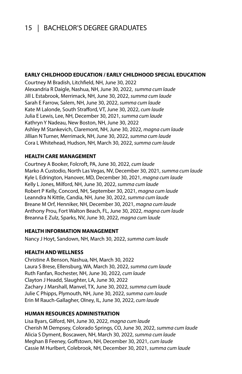#### **EARLY CHILDHOOD EDUCATION / EARLY CHILDHOOD SPECIAL EDUCATION**

Courtney M Bradish, Litchfield, NH, June 30, 2022 Alexandria R Daigle, Nashua, NH, June 30, 2022, *summa cum laude* Jill L Estabrook, Merrimack, NH, June 30, 2022, *summa cum laude* Sarah E Farrow, Salem, NH, June 30, 2022, *summa cum laude* Kate M Lalonde, South Strafford, VT, June 30, 2022, *cum laude* Julia E Lewis, Lee, NH, December 30, 2021, *summa cum laude* Kathryn Y Nadeau, New Boston, NH, June 30, 2022 Ashley M Stankevich, Claremont, NH, June 30, 2022, *magna cum laude* Jillian N Turner, Merrimack, NH, June 30, 2022, *summa cum laude* Cora L Whitehead, Hudson, NH, March 30, 2022, *summa cum laude*

#### **HEALTH CARE MANAGEMENT**

Courtney A Booker, Folcroft, PA, June 30, 2022, *cum laude* Marko A Custodio, North Las Vegas, NV, December 30, 2021, *summa cum laude* Kyle L Edrington, Hanover, MD, December 30, 2021, *magna cum laude* Kelly L Jones, Milford, NH, June 30, 2022, *summa cum laude* Robert P Kelly, Concord, NH, September 30, 2021, *magna cum laude* Leanndra N Kittle, Candia, NH, June 30, 2022, *summa cum laude* Breane M Orf, Henniker, NH, December 30, 2021, *magna cum laude* Anthony Prou, Fort Walton Beach, FL, June 30, 2022, *magna cum laude* Breanna E Zulz, Sparks, NV, June 30, 2022, *magna cum laude*

#### **HEALTH INFORMATION MANAGEMENT**

Nancy J Hoyt, Sandown, NH, March 30, 2022, *summa cum laude*

#### **HEALTH AND WELLNESS**

Christine A Benson, Nashua, NH, March 30, 2022 Laura S Brese, Ellensburg, WA, March 30, 2022, *summa cum laude* Ruth Fanfan, Rochester, NH, June 30, 2022, *cum laude* Clayton J Headd, Slaughter, LA, June 30, 2022 Zachary J Marshall, Manvel, TX, June 30, 2022, *summa cum laude* Julie C Phipps, Plymouth, NH, June 30, 2022, *summa cum laude* Erin M Rauch-Gallagher, Olney, IL, June 30, 2022, *cum laude*

#### **HUMAN RESOURCES ADMINISTRATION**

Lisa Byars, Gilford, NH, June 30, 2022, *magna cum laude* Cherish M Dempsey, Colorado Springs, CO, June 30, 2022, *summa cum laude* Alicia S Dyment, Boscawen, NH, March 30, 2022, *summa cum laude* Meghan B Feeney, Goffstown, NH, December 30, 2021, *cum laude* Cassie M Hurlbert, Colebrook, NH, December 30, 2021, *summa cum laude*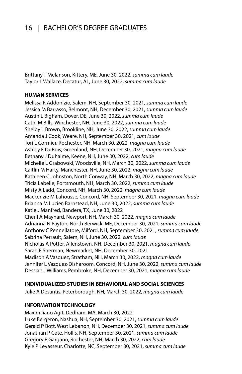Brittany T Melanson, Kittery, ME, June 30, 2022, *summa cum laude* Taylor L Wallace, Decatur, AL, June 30, 2022, *summa cum laude*

#### **HUMAN SERVICES**

Melissa R Addonizio, Salem, NH, September 30, 2021, *summa cum laude* Jessica M Barrasso, Belmont, NH, December 30, 2021, *summa cum laude* Austin L Bigham, Dover, DE, June 30, 2022, *summa cum laude* Cathi M Bills, Winchester, NH, June 30, 2022, *summa cum laude* Shelby L Brown, Brookline, NH, June 30, 2022, *summa cum laude* Amanda J Cook, Weare, NH, September 30, 2021, *cum laude* Tori L Cormier, Rochester, NH, March 30, 2022, *magna cum laude* Ashley F DuBois, Greenland, NH, December 30, 2021, *magna cum laude* Bethany J Duhaime, Keene, NH, June 30, 2022, *cum laude* Michelle L Grabowski, Woodsville, NH, March 30, 2022, *summa cum laude* Caitlin M Harty, Manchester, NH, June 30, 2022, *magna cum laude* Kathleen C Johnston, North Conway, NH, March 30, 2022, *magna cum laude* Tricia Labelle, Portsmouth, NH, March 30, 2022, *summa cum laude* Misty A Ladd, Concord, NH, March 30, 2022, *magna cum laude* Mackenzie M Lahousse, Concord, NH, September 30, 2021, *magna cum laude* Brianna M Lucier, Barnstead, NH, June 30, 2022, *summa cum laude* Katie J Manfred, Bandera, TX, June 30, 2022 Cheril A Maynard, Newport, NH, March 30, 2022, *magna cum laude* Adrianna N Payton, North Berwick, ME, December 30, 2021, *summa cum laude* Anthony C Pennellatore, Milford, NH, September 30, 2021, *summa cum laude* Sabrina Perrault, Salem, NH, June 30, 2022, *cum laude* Nicholas A Potter, Allenstown, NH, December 30, 2021, *magna cum laude* Sarah E Sherman, Newmarket, NH, December 30, 2021 Madison A Vasquez, Stratham, NH, March 30, 2022, *magna cum laude* Jennifer L Vazquez-Disharoom, Concord, NH, June 30, 2022, *summa cum laude* Dessiah J Williams, Pembroke, NH, December 30, 2021, *magna cum laude*

#### **INDIVIDUALIZED STUDIES IN BEHAVIORAL AND SOCIAL SCIENCES**

Julie A Desantis, Peterborough, NH, March 30, 2022, *magna cum laude*

#### **INFORMATION TECHNOLOGY**

Maximiliano Agit, Dedham, MA, March 30, 2022 Luke Bergeron, Nashua, NH, September 30, 2021, *summa cum laude* Gerald P Bott, West Lebanon, NH, December 30, 2021, *summa cum laude* Jonathan P Cote, Hollis, NH, September 30, 2021, *summa cum laude* Gregory E Gargano, Rochester, NH, March 30, 2022, *cum laude* Kyle P Levasseur, Charlotte, NC, September 30, 2021, *summa cum laude*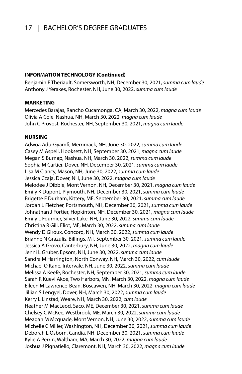#### **INFORMATION TECHNOLOGY (Continued)**

Benjamin E Theriault, Somersworth, NH, December 30, 2021, *summa cum laude* Anthony J Yerakes, Rochester, NH, June 30, 2022, *summa cum laude*

#### **MARKETING**

Mercedes Barajas, Rancho Cucamonga, CA, March 30, 2022, *magna cum laude* Olivia A Cole, Nashua, NH, March 30, 2022, *magna cum laude* John C Provost, Rochester, NH, September 30, 2021, *magna cum laude*

#### **NURSING**

Adwoa Adu-Gyamfi, Merrimack, NH, June 30, 2022, *summa cum laude* Casey M Aspell, Hooksett, NH, September 30, 2021, *magna cum laude* Megan S Burnap, Nashua, NH, March 30, 2022, *summa cum laude* Sophia M Cartier, Dover, NH, December 30, 2021, *summa cum laude* Lisa M Clancy, Mason, NH, June 30, 2022, *summa cum laude* Jessica Czaja, Dover, NH, June 30, 2022, *magna cum laude* Melodee J Dibble, Mont Vernon, NH, December 30, 2021, *magna cum laude* Emily K Dupont, Plymouth, NH, December 30, 2021, *summa cum laude* Brigette F Durham, Kittery, ME, September 30, 2021, *summa cum laude* Jordan L Fletcher, Portsmouth, NH, December 30, 2021, *summa cum laude* Johnathan J Fortier, Hopkinton, NH, December 30, 2021, *magna cum laude* Emily L Fournier, Silver Lake, NH, June 30, 2022, *summa cum laude* Christina R Gill, Eliot, ME, March 30, 2022, *summa cum laude* Wendy D Giroux, Concord, NH, March 30, 2022, *summa cum laude* Brianne N Grazulis, Billings, MT, September 30, 2021, *summa cum laude* Jessica A Grovo, Canterbury, NH, June 30, 2022, *magna cum laude* Jenni L Gruber, Epsom, NH, June 30, 2022, *summa cum laude* Sandra M Harrington, North Conway, NH, March 30, 2022, *cum laude* Michael O Kane, Intervale, NH, June 30, 2022, *summa cum laude* Melissa A Keefe, Rochester, NH, September 30, 2021, *summa cum laude* Sarah R Kuevi Akoe, Two Harbors, MN, March 30, 2022, *magna cum laude* Eileen M Lawrence-Bean, Boscawen, NH, March 30, 2022, *magna cum laude* Jillian S Lengyel, Dover, NH, March 30, 2022, *summa cum laude* Kerry L Linstad, Weare, NH, March 30, 2022, *cum laude* Heather M MacLeod, Saco, ME, December 30, 2021, *summa cum laude* Chelsey C McKee, Westbrook, ME, March 30, 2022, *summa cum laude* Meagan M Mcquade, Mont Vernon, NH, June 30, 2022, *summa cum laude* Michelle C Miller, Washington, NH, December 30, 2021, *summa cum laude* Deborah L Osborn, Candia, NH, December 30, 2021, *summa cum laude* Kylie A Perrin, Waltham, MA, March 30, 2022, *magna cum laude* Joshua J Pignatiello, Claremont, NH, March 30, 2022, *magna cum laude*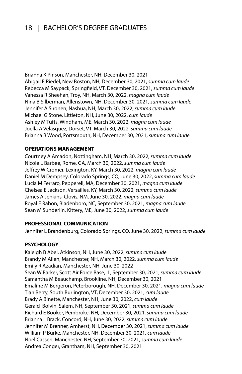Brianna K Pinson, Manchester, NH, December 30, 2021 Abigail E Riedel, New Boston, NH, December 30, 2021, *summa cum laude* Rebecca M Saypack, Springfield, VT, December 30, 2021, *summa cum laude* Vanessa R Sheehan, Troy, NH, March 30, 2022, *magna cum laude* Nina B Silberman, Allenstown, NH, December 30, 2021, *summa cum laude* Jennifer A Sironen, Nashua, NH, March 30, 2022, *summa cum laude* Michael G Stone, Littleton, NH, June 30, 2022, *cum laude* Ashley M Tufts, Windham, ME, March 30, 2022, *magna cum laude* Joella A Velasquez, Dorset, VT, March 30, 2022, *summa cum laude* Brianna B Wood, Portsmouth, NH, December 30, 2021, *summa cum laude*

#### **OPERATIONS MANAGEMENT**

Courtney A Amadon, Nottingham, NH, March 30, 2022, *summa cum laude* Nicole L Barbee, Rome, GA, March 30, 2022, *summa cum laude* Jeffrey W Cromer, Lexington, KY, March 30, 2022, *magna cum laude* Daniel M Dempsey, Colorado Springs, CO, June 30, 2022, *summa cum laude* Lucia M Ferraro, Pepperell, MA, December 30, 2021, *magna cum laude* Chelsea E Jackson, Versailles, KY, March 30, 2022, *summa cum laude* James A Jenkins, Clovis, NM, June 30, 2022, *magna cum laude* Royal E Rabon, Bladenboro, NC, September 30, 2021, *magna cum laude* Sean M Sunderlin, Kittery, ME, June 30, 2022, *summa cum laude*

#### **PROFESSIONAL COMMUNICATION**

Jennifer L Brandenburg, Colorado Springs, CO, June 30, 2022, *summa cum laude*

#### **PSYCHOLOGY**

Kaleigh B Abel, Atkinson, NH, June 30, 2022, *summa cum laude* Brandy M Allen, Manchester, NH, March 30, 2022, *summa cum laude* Emily R Azadian, Manchester, NH, June 30, 2022 Sean W Barker, Scott Air Force Base, IL, September 30, 2021, *summa cum laude* Samantha M Beauchamp, Brookline, NH, December 30, 2021 Emaline M Bergeron, Peterborough, NH, December 30, 2021, *magna cum laude* Tian Berry, South Burlington, VT, December 30, 2021, *cum laude* Brady A Binette, Manchester, NH, June 30, 2022, *cum laude* Gerald Bolvin, Salem, NH, September 30, 2021, *summa cum laude* Richard E Booker, Pembroke, NH, December 30, 2021, *summa cum laude* Brianna L Brack, Concord, NH, June 30, 2022, *summa cum laude* Jennifer M Brenner, Amherst, NH, December 30, 2021, *summa cum laude* William P Burke, Manchester, NH, December 30, 2021, *cum laude* Noel Cassen, Manchester, NH, September 30, 2021, *summa cum laude* Andrea Conger, Grantham, NH, September 30, 2021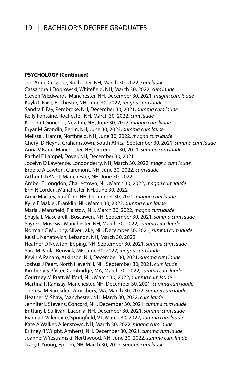#### **PSYCHOLOGY (Continued)**

Jeri-Anne Crowder, Rochester, NH, March 30, 2022, *cum laude* Cassandra J Dobrowski, Whitefield, NH, March 30, 2022, *cum laude* Steven M Edwards, Manchester, NH, December 30, 2021, *magna cum laude* Kayla L Faist, Rochester, NH, June 30, 2022, *magna cum laude* Sandra E Fay, Pembroke, NH, December 30, 2021, *summa cum laude* Kelly Fontaine, Rochester, NH, March 30, 2022, *cum laude* Kendra J Goucher, Newton, NH, June 30, 2022, *magna cum laude* Bryar M Grondin, Berlin, NH, June 30, 2022, *summa cum laude* Melissa J Hamre, Northfield, NH, June 30, 2022, *magna cum laude* Cheryl D Heyns, Grahamstown, South Africa, September 30, 2021, *summa cum laude* Anna V Kane, Manchester, NH, December 30, 2021, *summa cum laude* Rachel E Lampel, Dover, NH, December 30, 2021 Jocelyn D Lawrence, Londonderry, NH, March 30, 2022, *magna cum laude* Brooke A Lawton, Claremont, NH, June 30, 2022, *cum laude* Arthur L LeVant, Manchester, NH, June 30, 2022 Amber E Longdon, Charlestown, NH, March 30, 2022, *magna cum laude* Erin N Lorden, Manchester, NH, June 30, 2022 Amie Mackey, Strafford, NH, December 30, 2021, *magna cum laude* Kylie E Makiej, Franklin, NH, March 30, 2022, *summa cum laude* Maria J Mansfield, Plaistow, NH, March 30, 2022, *magna cum laude* Shayla L Masciarelli, Boscawen, NH, September 30, 2021, *summa cum laude* Sayre C Moskwa, Manchester, NH, March 30, 2022, *summa cum laude* Norman C Murphy, Silver Lake, NH, December 30, 2021, *summa cum laude* Kelsi L Nanatovich, Lebanon, NH, March 30, 2022 Heather D Newton, Epping, NH, September 30, 2021, *summa cum laude* Sara M Paola, Berwick, ME, June 30, 2022, *magna cum laude* Kevin A Panaro, Atkinson, NH, December 30, 2021, *summa cum laude* Joshua J Peart, North Haverhill, NH, September 30, 2021, *cum laude* Kimberly S Pfister, Cambridge, MA, March 30, 2022, *summa cum laude* Courtney M Pratt, Milford, NH, March 30, 2022, *summa cum laude* Martina R Ramsay, Manchester, NH, December 30, 2021, *summa cum laude* Theresa M Ramsden, Amesbury, MA, March 30, 2022, *summa cum laude* Heather M Shaw, Manchester, NH, March 30, 2022, *cum laude* Jennifer L Stevens, Concord, NH, December 30, 2021, *summa cum laude* Brittany L Sullivan, Laconia, NH, December 30, 2021, *summa cum laude* Rianna L Villemaire, Springfield, VT, March 30, 2022, *summa cum laude* Kate A Walker, Allenstown, NH, March 30, 2022, *magna cum laude* Britney R Wright, Amherst, NH, December 30, 2021, *summa cum laude* Joanne M Yestramski, Northwood, NH, June 30, 2022, *summa cum laude* Tracy L Young, Epsom, NH, March 30, 2022, *summa cum laude*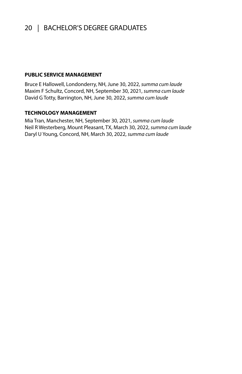#### **PUBLIC SERVICE MANAGEMENT**

Bruce E Hallowell, Londonderry, NH, June 30, 2022, *summa cum laude* Maxim F Schultz, Concord, NH, September 30, 2021, *summa cum laude* David G Totty, Barrington, NH, June 30, 2022, *summa cum laude*

#### **TECHNOLOGY MANAGEMENT**

Mia Tran, Manchester, NH, September 30, 2021, *summa cum laude* Neil R Westerberg, Mount Pleasant, TX, March 30, 2022, *summa cum laude* Daryl U Young, Concord, NH, March 30, 2022, *summa cum laude*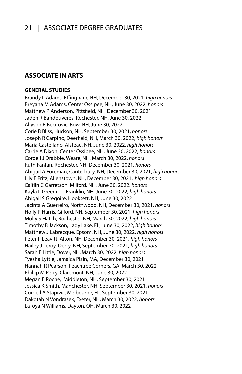### 21 | ASSOCIATE DEGREE GRADUATES

### **ASSOCIATE IN ARTS**

#### **GENERAL STUDIES**

Brandy L Adams, Effingham, NH, December 30, 2021, *high honors* Breyana M Adams, Center Ossipee, NH, June 30, 2022, *honors* Matthew P Anderson, Pittsfield, NH, December 30, 2021 Jaden R Bandouveres, Rochester, NH, June 30, 2022 Allyson R Becirovic, Bow, NH, June 30, 2022 Corie B Bliss, Hudson, NH, September 30, 2021, *honors* Joseph R Carpino, Deerfield, NH, March 30, 2022, *high honors* Maria Castellano, Alstead, NH, June 30, 2022, *high honors* Carrie A Dixon, Center Ossipee, NH, June 30, 2022, *honors* Cordell J Drabble, Weare, NH, March 30, 2022, *honors* Ruth Fanfan, Rochester, NH, December 30, 2021, *honors* Abigail A Foreman, Canterbury, NH, December 30, 2021, *high honors* Lily E Fritz, Allenstown, NH, December 30, 2021, *high honors* Caitlin C Garretson, Milford, NH, June 30, 2022, *honors* Kayla L Greenrod, Franklin, NH, June 30, 2022, *high honors* Abigail S Gregoire, Hooksett, NH, June 30, 2022 Jacinta A Guerreiro, Northwood, NH, December 30, 2021, *honors* Holly P Harris, Gilford, NH, September 30, 2021, *high honors* Molly S Hatch, Rochester, NH, March 30, 2022, *high honors* Timothy B Jackson, Lady Lake, FL, June 30, 2022, *high honors* Matthew J Labrecque, Epsom, NH, June 30, 2022, *high honors* Peter P Leavitt, Alton, NH, December 30, 2021, *high honors* Hailey J Leroy, Derry, NH, September 30, 2021, *high honors* Sarah E Little, Dover, NH, March 30, 2022, *high honors* Tyesha Lyttle, Jamaica Plain, MA, December 30, 2021 Hannah R Pearson, Peachtree Corners, GA, March 30, 2022 Phillip M Perry, Claremont, NH, June 30, 2022 Megan E Roche, Middleton, NH, September 30, 2021 Jessica K Smith, Manchester, NH, September 30, 2021, *honors* Cordell A Stapivic, Melbourne, FL, September 30, 2021 Dakotah N Vondrasek, Exeter, NH, March 30, 2022, *honors* LaToya N Williams, Dayton, OH, March 30, 2022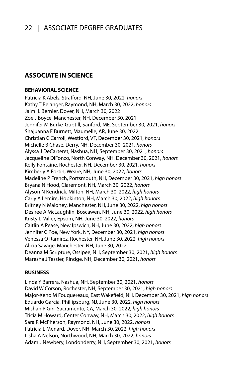## 22 | ASSOCIATE DEGREE GRADUATES

### **ASSOCIATE IN SCIENCE**

#### **BEHAVIORAL SCIENCE**

Patricia K Abels, Strafford, NH, June 30, 2022, *honors* Kathy T Belanger, Raymond, NH, March 30, 2022, *honors* Jaimi L Bernier, Dover, NH, March 30, 2022 Zoe J Boyce, Manchester, NH, December 30, 2021 Jennifer M Burke-Guptill, Sanford, ME, September 30, 2021, *honors* Shajuanna F Burnett, Maumelle, AR, June 30, 2022 Christian C Carroll, Westford, VT, December 30, 2021, *honors* Michelle B Chase, Derry, NH, December 30, 2021, *honors* Alyssa J DeCarteret, Nashua, NH, September 30, 2021, *honors* Jacqueline DiFonzo, North Conway, NH, December 30, 2021, *honors* Kelly Fontaine, Rochester, NH, December 30, 2021, *honors* Kimberly A Fortin, Weare, NH, June 30, 2022, *honors* Madeline P French, Portsmouth, NH, December 30, 2021, *high honors* Bryana N Hood, Claremont, NH, March 30, 2022, *honors* Alyson N Kendrick, Milton, NH, March 30, 2022, *high honors* Carly A Lemire, Hopkinton, NH, March 30, 2022, *high honors* Britney N Maloney, Manchester, NH, June 30, 2022, *high honors* Desiree A McLaughlin, Boscawen, NH, June 30, 2022, *high honors* Kristy L Miller, Epsom, NH, June 30, 2022, *honors* Caitlin A Pease, New Ipswich, NH, June 30, 2022, *high honors* Jennifer C Poe, New York, NY, December 30, 2021, *high honors* Venessa O Ramirez, Rochester, NH, June 30, 2022, *high honors* Alicia Savage, Manchester, NH, June 30, 2022 Deanna M Scripture, Ossipee, NH, September 30, 2021, *high honors* Maresha J Tessier, Rindge, NH, December 30, 2021, *honors*

#### **BUSINESS**

Linda Y Barrera, Nashua, NH, September 30, 2021, *honors* David W Corson, Rochester, NH, September 30, 2021, *high honors* Major-Xeno M Fouquereaux, East Wakefield, NH, December 30, 2021, *high honors* Eduardo Garcia, Phillipsburg, NJ, June 30, 2022, *high honors* Mishan P Giri, Sacramento, CA, March 30, 2022, *high honors* Tricia M Howard, Center Conway, NH, March 30, 2022, *high honors* Sara R McPherson, Raymond, NH, June 30, 2022, *honors* Patricia L Menard, Dover, NH, March 30, 2022, *high honors* Lisha A Nelson, Northwood, NH, March 30, 2022, *honors* Adam J Newbery, Londonderry, NH, September 30, 2021, *honors*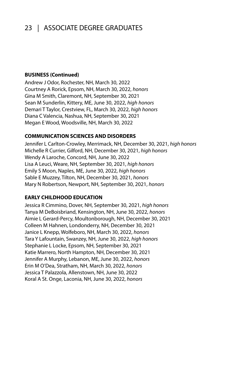# 23 | ASSOCIATE DEGREE GRADUATES

#### **BUSINESS (Continued)**

Andrew J Odor, Rochester, NH, March 30, 2022 Courtney A Rorick, Epsom, NH, March 30, 2022, *honors* Gina M Smith, Claremont, NH, September 30, 2021 Sean M Sunderlin, Kittery, ME, June 30, 2022, *high honors* Demari T Taylor, Crestview, FL, March 30, 2022, *high honors* Diana C Valencia, Nashua, NH, September 30, 2021 Megan E Wood, Woodsville, NH, March 30, 2022

#### **COMMUNICATION SCIENCES AND DISORDERS**

Jennifer L Carlton-Crowley, Merrimack, NH, December 30, 2021, *high honors* Michelle R Currier, Gilford, NH, December 30, 2021, *high honors* Wendy A Laroche, Concord, NH, June 30, 2022 Lisa A Leuci, Weare, NH, September 30, 2021, *high honors* Emily S Moon, Naples, ME, June 30, 2022, *high honors* Sable E Muzzey, Tilton, NH, December 30, 2021, *honors* Mary N Robertson, Newport, NH, September 30, 2021, *honors*

#### **EARLY CHILDHOOD EDUCATION**

Jessica R Cimmino, Dover, NH, September 30, 2021, *high honors* Tanya M DeBoisbriand, Kensington, NH, June 30, 2022, *honors* Aimie L Gerard-Percy, Moultonborough, NH, December 30, 2021 Colleen M Hahnen, Londonderry, NH, December 30, 2021 Janice L Knepp, Wolfeboro, NH, March 30, 2022, *honors* Tara Y Lafountain, Swanzey, NH, June 30, 2022, *high honors* Stephanie L Locke, Epsom, NH, September 30, 2021 Katie Marrero, North Hampton, NH, December 30, 2021 Jennifer A Murphy, Lebanon, ME, June 30, 2022, *honors* Erin M O'Dea, Stratham, NH, March 30, 2022, *honors* Jessica T Palazzola, Allenstown, NH, June 30, 2022 Koral A St. Onge, Laconia, NH, June 30, 2022, *honors*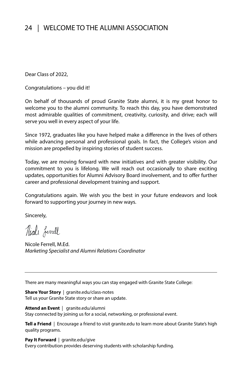### 24 | WELCOME TO THE ALUMNI ASSOCIATION

Dear Class of 2022,

Congratulations – you did it!

On behalf of thousands of proud Granite State alumni, it is my great honor to welcome you to the alumni community. To reach this day, you have demonstrated most admirable qualities of commitment, creativity, curiosity, and drive; each will serve you well in every aspect of your life.

Since 1972, graduates like you have helped make a difference in the lives of others while advancing personal and professional goals. In fact, the College's vision and mission are propelled by inspiring stories of student success.

Today, we are moving forward with new initiatives and with greater visibility. Our commitment to you is lifelong. We will reach out occasionally to share exciting updates, opportunities for Alumni Advisory Board involvement, and to offer further career and professional development training and support.

Congratulations again. We wish you the best in your future endeavors and look forward to supporting your journey in new ways.

Sincerely,

Night fund

Nicole Ferrell, M.Ed. *Marketing Specialist and Alumni Relations Coordinator*

There are many meaningful ways you can stay engaged with Granite State College:

**Share Your Story** | granite.edu/class-notes Tell us your Granite State story or share an update.

**Attend an Event** | granite.edu/alumni Stay connected by joining us for a social, networking, or professional event.

**Tell a Friend** | Encourage a friend to visit granite.edu to learn more about Granite State's high quality programs.

**Pay It Forward** | granite.edu/give Every contribution provides deserving students with scholarship funding.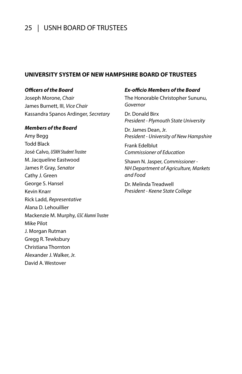# 25 | USNH BOARD OF TRUSTEES

#### **UNIVERSITY SYSTEM OF NEW HAMPSHIRE BOARD OF TRUSTEES**

#### *Officers of the Board*

Joseph Morone, *Chair* James Burnett, III, *Vice Chair* Kassandra Spanos Ardinger, *Secretary*

#### *Members of the Board*

Amy Begg Todd Black José Calvo, *USNH Student Trustee* M. Jacqueline Eastwood James P. Gray, *Senator* Cathy J. Green George S. Hansel Kevin Knarr Rick Ladd, *Representative* Alana D. Lehouillier Mackenzie M. Murphy, *GSC Alumni Trustee* Mike Pilot J. Morgan Rutman Gregg R. Tewksbury Christiana Thornton Alexander J. Walker, Jr. David A. Westover

#### *Ex-officio Members of the Board*

The Honorable Christopher Sununu, *Governor*

Dr. Donald Birx *President - Plymouth State University* 

Dr. James Dean, Jr. *President - University of New Hampshire*

Frank Edelblut *Commissioner of Education*

Shawn N. Jasper, *Commissioner - NH Department of Agriculture, Markets and Food*

Dr. Melinda Treadwell *President - Keene State College*